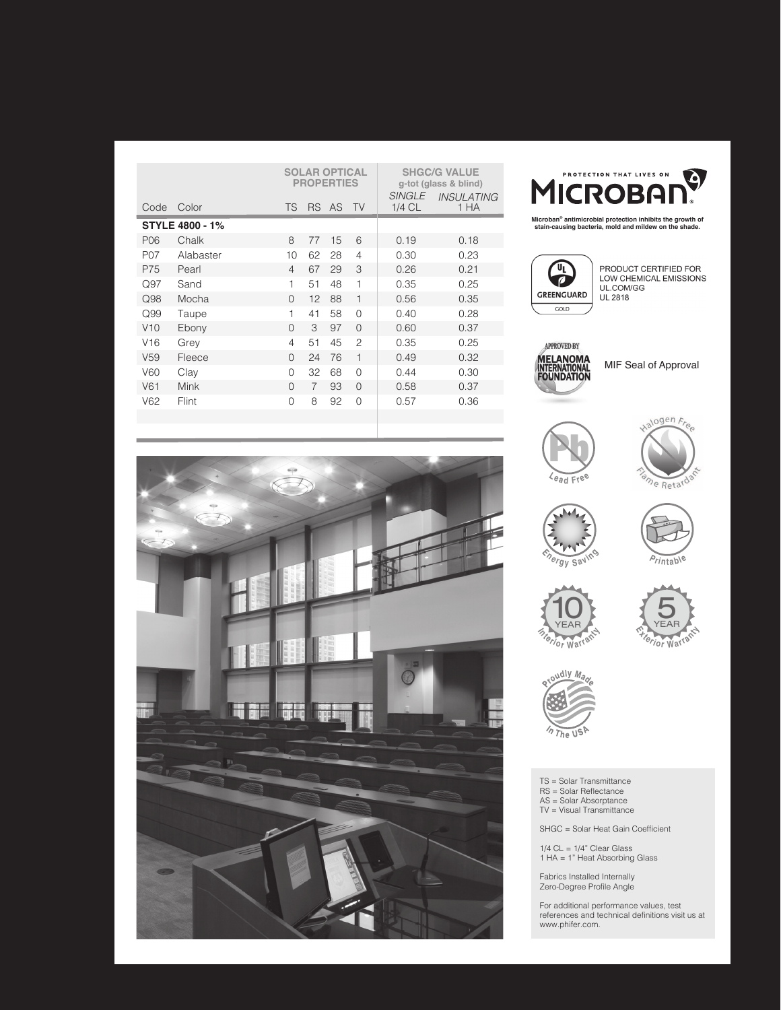| Code                   | Color       | <b>TS</b> |    | <b>SOLAR OPTICAL</b><br><b>PROPERTIES</b><br>RS AS TV |                | <b>SINGLE</b><br>1/4 CL | <b>SHGC/G VALUE</b><br>g-tot (glass & blind)<br><b>INSULATING</b><br>1 HA |
|------------------------|-------------|-----------|----|-------------------------------------------------------|----------------|-------------------------|---------------------------------------------------------------------------|
| <b>STYLE 4800 - 1%</b> |             |           |    |                                                       |                |                         |                                                                           |
| P06                    | Chalk       | 8         | 77 | 15                                                    | 6              | 0.19                    | 0.18                                                                      |
| P07                    | Alabaster   | 10        | 62 | 28                                                    | $\overline{4}$ | 0.30                    | 0.23                                                                      |
| P75                    | Pearl       | 4         | 67 | 29                                                    | 3              | 0.26                    | 0.21                                                                      |
| Q97                    | Sand        | 1         | 51 | 48                                                    | $\mathbf{1}$   | 0.35                    | 0.25                                                                      |
| Q98                    | Mocha       | $\Omega$  | 12 | 88                                                    | $\overline{1}$ | 0.56                    | 0.35                                                                      |
| Q99                    | Taupe       | 1         | 41 | 58                                                    | $\Omega$       | 0.40                    | 0.28                                                                      |
| V10                    | Ebony       | $\Omega$  | 3  | 97                                                    | $\Omega$       | 0.60                    | 0.37                                                                      |
| V16                    | Grey        | 4         | 51 | 45                                                    | $\mathcal{P}$  | 0.35                    | 0.25                                                                      |
| V <sub>59</sub>        | Fleece      | $\Omega$  | 24 | 76                                                    | $\mathbf{1}$   | 0.49                    | 0.32                                                                      |
| V60                    | Clay        | $\Omega$  | 32 | 68                                                    | $\Omega$       | 0.44                    | 0.30                                                                      |
| V61                    | <b>Mink</b> | $\Omega$  | 7  | 93                                                    | $\Omega$       | 0.58                    | 0.37                                                                      |
| V62                    | Flint       | $\Omega$  | 8  | 92                                                    | $\Omega$       | 0.57                    | 0.36                                                                      |
|                        |             |           |    |                                                       |                |                         |                                                                           |



**Microban® antimicrobial protection inhibits the growth of stain-causing bacteria, mold and mildew on the shade.**



PRODUCT CERTIFIED FOR LOW CHEMICAL EMISSIONS<br>UL.COM/GG UL 2818



MIF Seal of Approval















TS = Solar Transmittance RS = Solar Reflectance AS = Solar Absorptance TV = Visual Transmittance

SHGC = Solar Heat Gain Coefficient

 $1/4$  CL =  $1/4$ " Clear Glass 1 HA = 1" Heat Absorbing Glass

Fabrics Installed Internally Zero-Degree Profile Angle

For additional performance values, test references and technical definitions visit us at www.phifer.com.